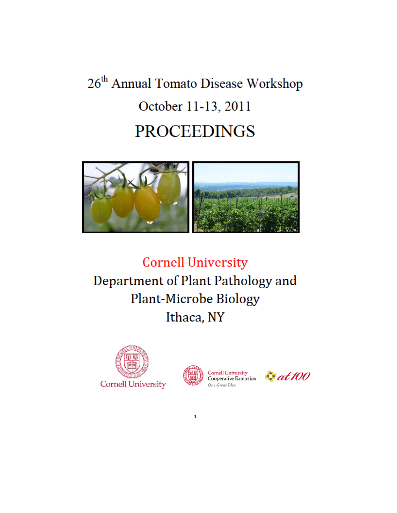## 26<sup>th</sup> Annual Tomato Disease Workshop October 11-13, 2011 **PROCEEDINGS**



**Cornell University** Department of Plant Pathology and Plant-Microbe Biology Ithaca, NY





 $\mathbf{1}$ 

One Great Idea

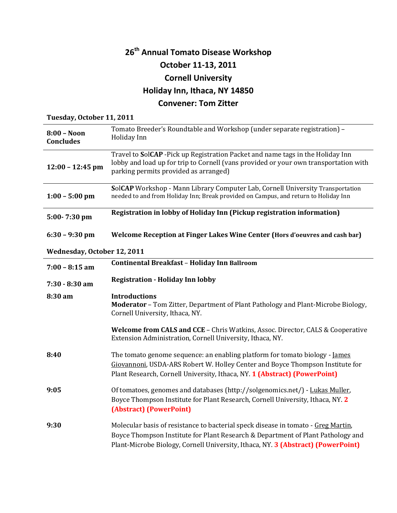## **26th Annual Tomato Disease Workshop October 11-13, 2011 Cornell University Holiday Inn, Ithaca, NY 14850 Convener: Tom Zitter**

## **Tuesday, October 11, 2011**

| $8:00 - N$ oon<br><b>Concludes</b> | Tomato Breeder's Roundtable and Workshop (under separate registration) -<br>Holiday Inn                                                                                                                                                                  |
|------------------------------------|----------------------------------------------------------------------------------------------------------------------------------------------------------------------------------------------------------------------------------------------------------|
| $12:00 - 12:45$ pm                 | Travel to SolCAP - Pick up Registration Packet and name tags in the Holiday Inn<br>lobby and load up for trip to Cornell (vans provided or your own transportation with<br>parking permits provided as arranged)                                         |
| $1:00 - 5:00$ pm                   | SolCAP Workshop - Mann Library Computer Lab, Cornell University Transportation<br>needed to and from Holiday Inn; Break provided on Campus, and return to Holiday Inn                                                                                    |
| 5:00-7:30 pm                       | Registration in lobby of Holiday Inn (Pickup registration information)                                                                                                                                                                                   |
| $6:30 - 9:30$ pm                   | Welcome Reception at Finger Lakes Wine Center (Hors d'oeuvres and cash bar)                                                                                                                                                                              |
| Wednesday, October 12, 2011        |                                                                                                                                                                                                                                                          |
| $7:00 - 8:15$ am                   | Continental Breakfast - Holiday Inn Ballroom                                                                                                                                                                                                             |
| $7:30 - 8:30$ am                   | <b>Registration - Holiday Inn lobby</b>                                                                                                                                                                                                                  |
| 8:30 am                            | <b>Introductions</b><br>Moderator - Tom Zitter, Department of Plant Pathology and Plant-Microbe Biology,<br>Cornell University, Ithaca, NY.                                                                                                              |
|                                    | Welcome from CALS and CCE - Chris Watkins, Assoc. Director, CALS & Cooperative<br>Extension Administration, Cornell University, Ithaca, NY.                                                                                                              |
| 8:40                               | The tomato genome sequence: an enabling platform for tomato biology - James<br>Giovannoni, USDA-ARS Robert W. Holley Center and Boyce Thompson Institute for<br>Plant Research, Cornell University, Ithaca, NY. 1 (Abstract) (PowerPoint)                |
| 9:05                               | Of tomatoes, genomes and databases (http://solgenomics.net/) - Lukas Muller,<br>Boyce Thompson Institute for Plant Research, Cornell University, Ithaca, NY. 2<br>(Abstract) (PowerPoint)                                                                |
| 9:30                               | Molecular basis of resistance to bacterial speck disease in tomato - Greg Martin,<br>Boyce Thompson Institute for Plant Research & Department of Plant Pathology and<br>Plant-Microbe Biology, Cornell University, Ithaca, NY. 3 (Abstract) (PowerPoint) |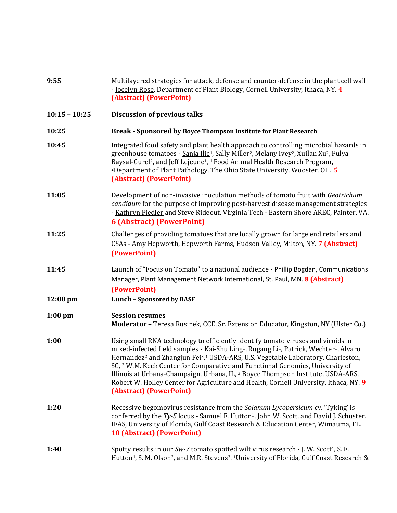| 9:55            | Multilayered strategies for attack, defense and counter-defense in the plant cell wall<br>- Jocelyn Rose, Department of Plant Biology, Cornell University, Ithaca, NY. 4<br>(Abstract) (PowerPoint)                                                                                                                                                                                                                                                                                                                                                                                                                                                  |
|-----------------|------------------------------------------------------------------------------------------------------------------------------------------------------------------------------------------------------------------------------------------------------------------------------------------------------------------------------------------------------------------------------------------------------------------------------------------------------------------------------------------------------------------------------------------------------------------------------------------------------------------------------------------------------|
| $10:15 - 10:25$ | <b>Discussion of previous talks</b>                                                                                                                                                                                                                                                                                                                                                                                                                                                                                                                                                                                                                  |
| 10:25           | Break - Sponsored by Boyce Thompson Institute for Plant Research                                                                                                                                                                                                                                                                                                                                                                                                                                                                                                                                                                                     |
| 10:45           | Integrated food safety and plant health approach to controlling microbial hazards in<br>greenhouse tomatoes - Sanja Ilic <sup>1</sup> , Sally Miller <sup>2</sup> , Melany Ivey <sup>2</sup> , Xuilan Xu <sup>2</sup> , Fulya<br>Baysal-Gurel <sup>2</sup> , and Jeff Lejeune <sup>1</sup> , <sup>1</sup> Food Animal Health Research Program,<br><sup>2</sup> Department of Plant Pathology, The Ohio State University, Wooster, OH. 5<br>(Abstract) (PowerPoint)                                                                                                                                                                                   |
| 11:05           | Development of non-invasive inoculation methods of tomato fruit with Geotrichum<br>candidum for the purpose of improving post-harvest disease management strategies<br>- Kathryn Fiedler and Steve Rideout, Virginia Tech - Eastern Shore AREC, Painter, VA.<br><b>6 (Abstract) (PowerPoint)</b>                                                                                                                                                                                                                                                                                                                                                     |
| 11:25           | Challenges of providing tomatoes that are locally grown for large end retailers and<br>CSAs - Amy Hepworth, Hepworth Farms, Hudson Valley, Milton, NY. 7 (Abstract)<br>(PowerPoint)                                                                                                                                                                                                                                                                                                                                                                                                                                                                  |
| 11:45           | Launch of "Focus on Tomato" to a national audience - Phillip Bogdan, Communications<br>Manager, Plant Management Network International, St. Paul, MN. 8 (Abstract)<br>(PowerPoint)                                                                                                                                                                                                                                                                                                                                                                                                                                                                   |
| 12:00 pm        | Lunch - Sponsored by <b>BASF</b>                                                                                                                                                                                                                                                                                                                                                                                                                                                                                                                                                                                                                     |
| $1:00$ pm       | <b>Session resumes</b><br>Moderator - Teresa Rusinek, CCE, Sr. Extension Educator, Kingston, NY (Ulster Co.)                                                                                                                                                                                                                                                                                                                                                                                                                                                                                                                                         |
| 1:00            | Using small RNA technology to efficiently identify tomato viruses and viroids in<br>mixed-infected field samples - Kai-Shu Ling <sup>1</sup> , Rugang Li <sup>1</sup> , Patrick, Wechter <sup>1</sup> , Alvaro<br>Hernandez <sup>2</sup> and Zhangjun Fei <sup>3</sup> . <sup>1</sup> USDA-ARS, U.S. Vegetable Laboratory, Charleston,<br>SC, <sup>2</sup> W.M. Keck Center for Comparative and Functional Genomics, University of<br>Illinois at Urbana-Champaign, Urbana, IL, <sup>3</sup> Boyce Thompson Institute, USDA-ARS,<br>Robert W. Holley Center for Agriculture and Health, Cornell University, Ithaca, NY. 9<br>(Abstract) (PowerPoint) |
| 1:20            | Recessive begomovirus resistance from the Solanum Lycopersicum cv. 'Tyking' is<br>conferred by the Ty-5 locus - Samuel F. Hutton <sup>1</sup> , John W. Scott, and David J. Schuster.<br>IFAS, University of Florida, Gulf Coast Research & Education Center, Wimauma, FL.<br><b>10 (Abstract) (PowerPoint)</b>                                                                                                                                                                                                                                                                                                                                      |
| 1:40            | Spotty results in our Sw-7 tomato spotted wilt virus research - [.W. Scott <sup>1</sup> , S. F.<br>Hutton <sup>1</sup> , S. M. Olson <sup>2</sup> , and M.R. Stevens <sup>3</sup> . <sup>1</sup> University of Florida, Gulf Coast Research &                                                                                                                                                                                                                                                                                                                                                                                                        |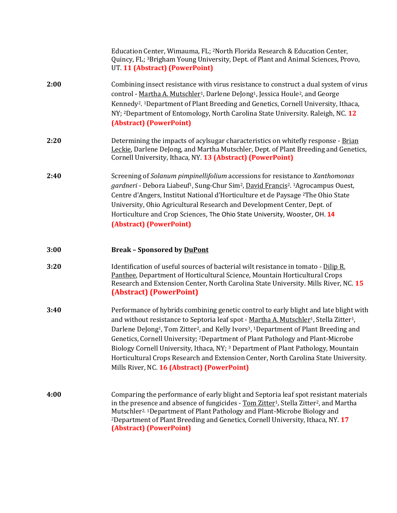|      | Education Center, Wimauma, FL; <sup>2</sup> North Florida Research & Education Center,<br>Quincy, FL; <sup>3</sup> Brigham Young University, Dept. of Plant and Animal Sciences, Provo,<br>UT. 11 (Abstract) (PowerPoint)                                                                                                                                                                                                                                                                                                                                                                                                                                               |
|------|-------------------------------------------------------------------------------------------------------------------------------------------------------------------------------------------------------------------------------------------------------------------------------------------------------------------------------------------------------------------------------------------------------------------------------------------------------------------------------------------------------------------------------------------------------------------------------------------------------------------------------------------------------------------------|
| 2:00 | Combining insect resistance with virus resistance to construct a dual system of virus<br>control - Martha A. Mutschler <sup>1</sup> , Darlene DeJong <sup>1</sup> , Jessica Houle <sup>2</sup> , and George<br>Kennedy <sup>2</sup> . <sup>1</sup> Department of Plant Breeding and Genetics, Cornell University, Ithaca,<br>NY; <sup>2</sup> Department of Entomology, North Carolina State University. Raleigh, NC. 12<br>(Abstract) (PowerPoint)                                                                                                                                                                                                                     |
| 2:20 | Determining the impacts of acylsugar characteristics on whitefly response - Brian<br>Leckie, Darlene DeJong, and Martha Mutschler, Dept. of Plant Breeding and Genetics,<br>Cornell University, Ithaca, NY. 13 (Abstract) (PowerPoint)                                                                                                                                                                                                                                                                                                                                                                                                                                  |
| 2:40 | Screening of Solanum pimpinellifolium accessions for resistance to Xanthomonas<br>gardneri - Debora Liabeuf <sup>1</sup> , Sung-Chur Sim <sup>2</sup> , David Francis <sup>2</sup> . <sup>1</sup> Agrocampus Ouest,<br>Centre d'Angers, Institut National d'Horticulture et de Paysage <sup>2</sup> The Ohio State<br>University, Ohio Agricultural Research and Development Center, Dept. of<br>Horticulture and Crop Sciences, The Ohio State University, Wooster, OH. 14<br>(Abstract) (PowerPoint)                                                                                                                                                                  |
| 3:00 | <b>Break - Sponsored by DuPont</b>                                                                                                                                                                                                                                                                                                                                                                                                                                                                                                                                                                                                                                      |
|      |                                                                                                                                                                                                                                                                                                                                                                                                                                                                                                                                                                                                                                                                         |
| 3:20 | Identification of useful sources of bacterial wilt resistance in tomato - Dilip R.<br>Panthee, Department of Horticultural Science, Mountain Horticultural Crops<br>Research and Extension Center, North Carolina State University. Mills River, NC. 15<br>(Abstract) (PowerPoint)                                                                                                                                                                                                                                                                                                                                                                                      |
| 3:40 | Performance of hybrids combining genetic control to early blight and late blight with<br>and without resistance to Septoria leaf spot - Martha A. Mutschler <sup>1</sup> , Stella Zitter <sup>1</sup> ,<br>Darlene DeJong <sup>1</sup> , Tom Zitter <sup>2</sup> , and Kelly Ivors <sup>3</sup> , <sup>1</sup> Department of Plant Breeding and<br>Genetics, Cornell University; 2Department of Plant Pathology and Plant-Microbe<br>Biology Cornell University, Ithaca, NY; <sup>3</sup> Department of Plant Pathology, Mountain<br>Horticultural Crops Research and Extension Center, North Carolina State University.<br>Mills River, NC. 16 (Abstract) (PowerPoint) |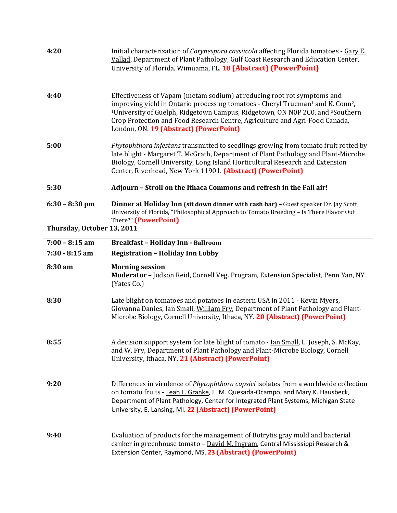| 4:20                       | Initial characterization of Corynespora cassiicola affecting Florida tomatoes - Gary E.<br>Vallad, Department of Plant Pathology, Gulf Coast Research and Education Center,<br>University of Florida. Wimuama, FL. 18 (Abstract) (PowerPoint)                                                                                                                                                                        |
|----------------------------|----------------------------------------------------------------------------------------------------------------------------------------------------------------------------------------------------------------------------------------------------------------------------------------------------------------------------------------------------------------------------------------------------------------------|
| 4:40                       | Effectiveness of Vapam (metam sodium) at reducing root rot symptoms and<br>improving yield in Ontario processing tomatoes - Cheryl Trueman <sup>1</sup> and K. Conn <sup>2</sup> ,<br><sup>1</sup> University of Guelph, Ridgetown Campus, Ridgetown, ON N0P 2C0, and <sup>2</sup> Southern<br>Crop Protection and Food Research Centre, Agriculture and Agri-Food Canada,<br>London, ON. 19 (Abstract) (PowerPoint) |
| 5:00                       | Phytophthora infestans transmitted to seedlings growing from tomato fruit rotted by<br>late blight - Margaret T. McGrath, Department of Plant Pathology and Plant-Microbe<br>Biology, Cornell University, Long Island Horticultural Research and Extension<br>Center, Riverhead, New York 11901. (Abstract) (PowerPoint)                                                                                             |
| 5:30                       | Adjourn - Stroll on the Ithaca Commons and refresh in the Fall air!                                                                                                                                                                                                                                                                                                                                                  |
| $6:30 - 8:30$ pm           | Dinner at Holiday Inn (sit down dinner with cash bar) - Guest speaker Dr. Jay Scott,<br>University of Florida, "Philosophical Approach to Tomato Breeding - Is There Flavor Out<br>There?" (PowerPoint)                                                                                                                                                                                                              |
| Thursday, October 13, 2011 |                                                                                                                                                                                                                                                                                                                                                                                                                      |
| $7:00 - 8:15$ am           | <b>Breakfast - Holiday Inn - Ballroom</b>                                                                                                                                                                                                                                                                                                                                                                            |
| $7:30 - 8:15$ am           | <b>Registration - Holiday Inn Lobby</b>                                                                                                                                                                                                                                                                                                                                                                              |
| 8:30 am                    | <b>Morning session</b><br>Moderator - Judson Reid, Cornell Veg. Program, Extension Specialist, Penn Yan, NY<br>(Yates Co.)                                                                                                                                                                                                                                                                                           |
| 8:30                       | Late blight on tomatoes and potatoes in eastern USA in 2011 - Kevin Myers,<br>Giovanna Danies, Ian Small, William Fry, Department of Plant Pathology and Plant-<br>Microbe Biology, Cornell University, Ithaca, NY. 20 (Abstract) (PowerPoint)                                                                                                                                                                       |
| 8:55                       | A decision support system for late blight of tomato - <u>Ian Small</u> , L. Joseph, S. McKay,<br>and W. Fry, Department of Plant Pathology and Plant-Microbe Biology, Cornell<br>University, Ithaca, NY. 21 (Abstract) (PowerPoint)                                                                                                                                                                                  |
| 9:20                       | Differences in virulence of <i>Phytophthora capsici</i> isolates from a worldwide collection<br>on tomato fruits - Leah L. Granke, L. M. Quesada-Ocampo, and Mary K. Hausbeck,<br>Department of Plant Pathology, Center for Integrated Plant Systems, Michigan State<br>University, E. Lansing, MI. 22 (Abstract) (PowerPoint)                                                                                       |
| 9:40                       | Evaluation of products for the management of Botrytis gray mold and bacterial<br>canker in greenhouse tomato - David M. Ingram, Central Mississippi Research &<br>Extension Center, Raymond, MS. 23 (Abstract) (PowerPoint)                                                                                                                                                                                          |